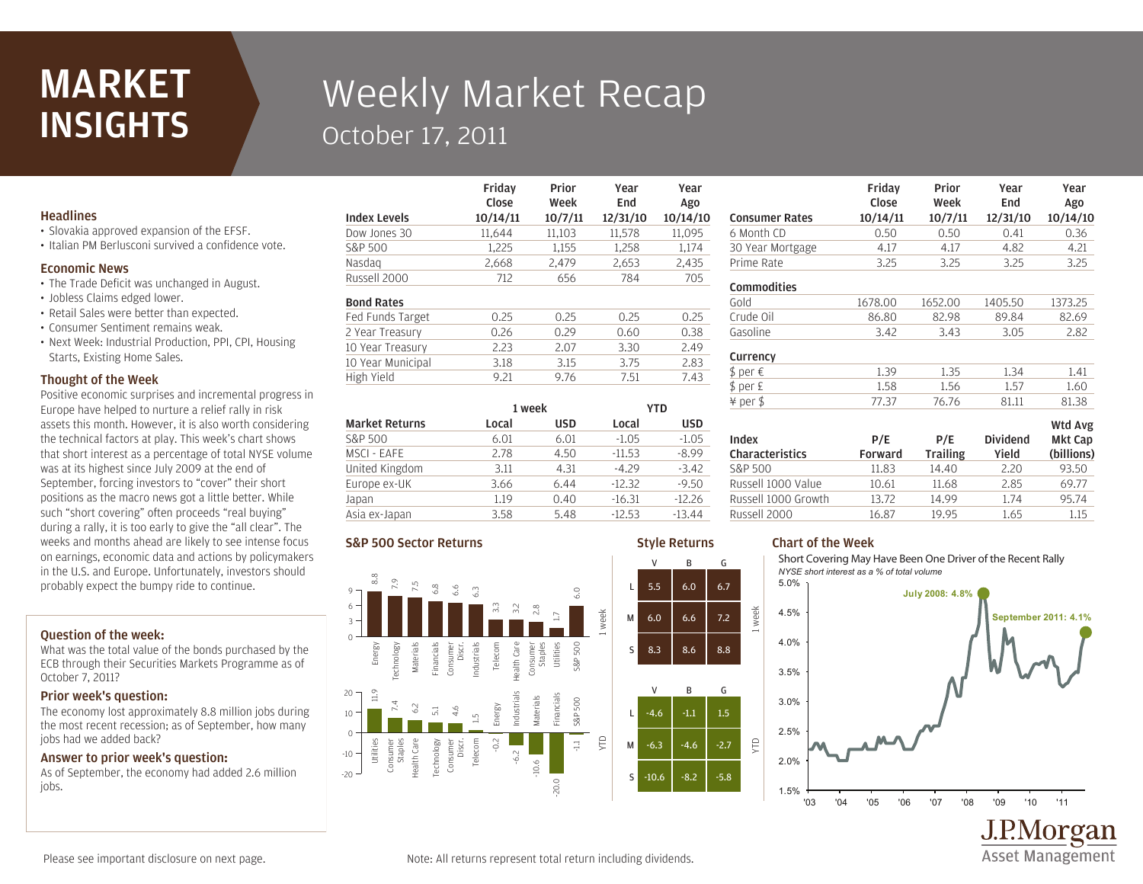## **MARKET INSIGHTS**

# Weekly Market Recap October 17, 2011

Friday

### **Headlines**

- Slovakia approved expansion of the EFSF.
- Italian PM Berlusconi survived a confidence vote.

#### Economic News

- The Trade Deficit was unchanged in August.
- Jobless Claims edged lower.
- Retail Sales were better than expected.
- Consumer Sentiment remains weak.
- Next Week: Industrial Production, PPI, CPI, Housing Starts, Existing Home Sales.

#### Thought of the Week

Positive economic surprises and incremental progress in Europe have helped to nurture a relief rally in risk assets this month. However, it is also worth considering the technical factors at play. This week's chart shows that short interest as a percentage of total NYSE volume was at its highest since July 2009 at the end of September, forcing investors to "cover" their short positions as the macro news got a little better. While such "short covering" often proceeds "real buying" during a rally, it is too early to give the "all clear". The weeks and months ahead are likely to see intense focus on earnings, economic data and actions by policymakers in the U.S. and Europe. Unfortunately, investors should probably expect the bumpy ride to continue.

#### Question of the week:

What was the total value of the bonds purchased by the ECB through their Securities Markets Programme as of October 7, 2011?

### Prior week's question:

The economy lost approximately 8.8 million jobs during the most recent recession; as of September, how many jobs had we added back?

#### Answer to prior week's question:

As of September, the economy had added 2.6 million jobs.

| <b>Index Levels</b> | Close<br>10/14/11 | Week<br>10/7/11 | End<br>12/31/10 | Ago<br>10/14/10 |
|---------------------|-------------------|-----------------|-----------------|-----------------|
| Dow Jones 30        | 11.644            | 11,103          | 11,578          | 11.095          |
| S&P 500             | 1.225             | 1.155           | 1.258           | 1.174           |
| Nasdag              | 2,668             | 2,479           | 2,653           | 2,435           |
| Russell 2000        | 712               | 656             | 784             | 705             |
| <b>Bond Rates</b>   |                   |                 |                 |                 |
| Fed Funds Target    | 0.25              | 0.25            | 0.25            | 0.25            |
| 2 Year Treasury     | 0.26              | 0.29            | 0.60            | 0.38            |
| 10 Year Treasury    | 2.23              | 2.07            | 3.30            | 2.49            |
| 10 Year Municipal   | 3.18              | 3.15            | 3.75            | 2.83            |
| High Yield          | 9.21              | 9.76            | 7.51            | 7.43            |
|                     |                   |                 |                 |                 |

Prior

Year

Year

| <b>Market Returns</b> | 1 week |            | YTD      |            |
|-----------------------|--------|------------|----------|------------|
|                       | Local  | <b>USD</b> | Local    | <b>USD</b> |
| S&P 500               | 6.01   | 6.01       | $-1.05$  | $-1.05$    |
| MSCI - EAFE           | 2.78   | 4.50       | $-11.53$ | $-8.99$    |
| United Kingdom        | 3.11   | 4.31       | $-4.29$  | $-3.42$    |
| Europe ex-UK          | 3.66   | 6.44       | $-12.32$ | $-9.50$    |
| Japan                 | 1.19   | 0.40       | $-16.31$ | $-12.26$   |
| Asia ex-Japan         | 3.58   | 5.48       | $-12.53$ | $-13.44$   |

#### S&P 500 Sector Returns



#### Prime Rate 3.25 3.25 3.25 3.25 30 Year Mortgage 4.17 4.17 4.82 4.21 6 Month CD 0.50 0.50 0.41 0.36 Consumer Rates 10/14/11 10/7/11 12/31/10 10/14/10 Close Week End Ago Gasoline 3.42 3.43 3.05 2.82 Crude Oil 86.80 82.98 89.84 82.69 Gold 1678.00 1652.00 1405.50 1373.25 **Commodities** ¥ per \$ 77.37 76.76 81.11 81.38  $$ per E$  1.58 1.56 1.57 1.60  $$ per \in 1.39$  1.35 1.34 1.41 Currency Russell 1000 Value 10.61 11.68 2.85 69.77 S&P 500 11.83 14.40 2.20 93.50 Wtd Avg Mkt Cap (billions) Dividend Yield P/E **Trailing** P/E Forward Index Characteristics

Friday

Prior

Year

Year

### Style Returns V B G

V B G

week

YTD

Chart of the Week Short Covering May Have Been One Driver of the Recent Rally

Russell 2000 16.87 19.95 1.65 1.15 Russell 1000 Growth 13.72 14.99 1.74 95.74



Asset Management

Please see important disclosure on next page.

Note: All returns represent total return including dividends.